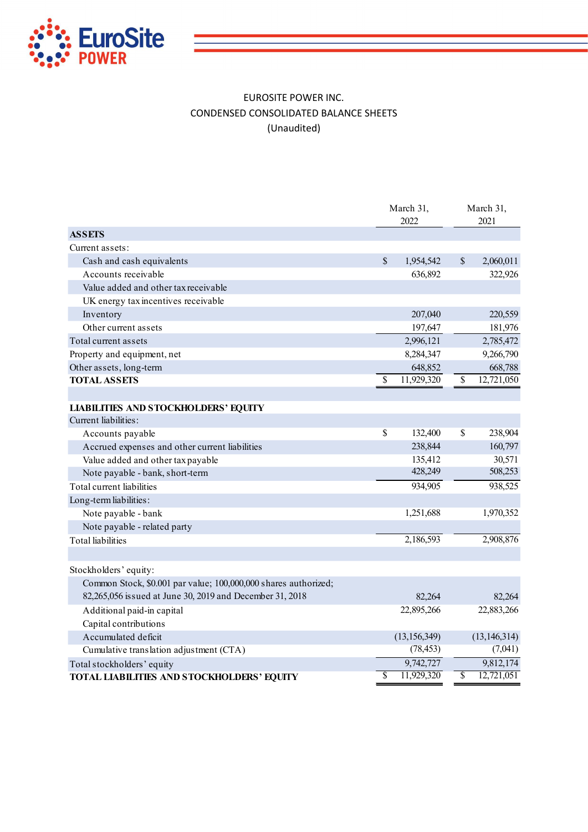

## EUROSITE POWER INC. CONDENSED CONSOLIDATED BALANCE SHEETS (Unaudited)

| <b>EuroSite</b><br><b>POWER</b>                |                                                                                                                             |              |                    |              |                   |
|------------------------------------------------|-----------------------------------------------------------------------------------------------------------------------------|--------------|--------------------|--------------|-------------------|
|                                                |                                                                                                                             |              |                    |              |                   |
|                                                | <b>EUROSITE POWER INC.</b><br>CONDENSED CONSOLIDATED BALANCE SHEETS<br>(Unaudited)                                          |              |                    |              |                   |
|                                                |                                                                                                                             |              | March 31,<br>2022  |              | March 31,<br>2021 |
| <b>ASSETS</b>                                  |                                                                                                                             |              |                    |              |                   |
| Current assets:                                |                                                                                                                             |              |                    |              |                   |
| Cash and cash equivalents                      |                                                                                                                             | $\mathbb{S}$ | 1,954,542          | $\mathbb{S}$ | 2,060,011         |
| Accounts receivable                            |                                                                                                                             |              | 636,892            |              | 322,926           |
| Value added and other tax receivable           |                                                                                                                             |              |                    |              |                   |
| UK energy tax incentives receivable            |                                                                                                                             |              |                    |              |                   |
| Inventory                                      |                                                                                                                             |              | 207,040            |              | 220,559           |
| Other current assets                           |                                                                                                                             |              | 197,647            |              | 181,976           |
| Total current assets                           |                                                                                                                             |              | 2,996,121          |              | 2,785,472         |
| Property and equipment, net                    |                                                                                                                             |              | 8,284,347          |              | 9,266,790         |
| Other assets, long-term                        |                                                                                                                             |              | 648,852            |              | 668,788           |
| <b>TOTAL ASSETS</b>                            |                                                                                                                             |              | 11,929,320         |              | 12,721,050        |
|                                                |                                                                                                                             |              |                    |              |                   |
| <b>LIABILITIES AND STOCKHOLDERS' EQUITY</b>    |                                                                                                                             |              |                    |              |                   |
| Current liabilities:                           |                                                                                                                             |              |                    |              |                   |
| Accounts payable                               |                                                                                                                             | $\mathbb S$  | 132,400            | \$           | 238,904           |
| Accrued expenses and other current liabilities |                                                                                                                             |              | 238,844            |              | 160,797           |
| Value added and other tax payable              |                                                                                                                             |              | 135,412<br>428,249 |              | 30,571            |
| Note payable - bank, short-term                |                                                                                                                             |              |                    |              | 508,253           |
| Total current liabilities                      |                                                                                                                             |              | 934,905            |              | 938,525           |
| Long-term liabilities:                         |                                                                                                                             |              |                    |              |                   |
| Note payable - bank                            |                                                                                                                             |              | 1,251,688          |              | 1,970,352         |
| Note payable - related party                   |                                                                                                                             |              |                    |              |                   |
| <b>Total</b> liabilities                       |                                                                                                                             |              | 2,186,593          |              | 2,908,876         |
|                                                |                                                                                                                             |              |                    |              |                   |
| Stockholders' equity:                          |                                                                                                                             |              |                    |              |                   |
|                                                | Common Stock, \$0.001 par value; 100,000,000 shares authorized;<br>82,265,056 issued at June 30, 2019 and December 31, 2018 |              | 82,264             |              | 82,264            |
| Additional paid-in capital                     |                                                                                                                             |              | 22,895,266         |              | 22,883,266        |
| Capital contributions                          |                                                                                                                             |              |                    |              |                   |
| Accumulated deficit                            |                                                                                                                             |              | (13, 156, 349)     |              | (13, 146, 314)    |
| Cumulative translation adjustment (CTA)        |                                                                                                                             |              | (78, 453)          |              | (7,041)           |
| Total stockholders' equity                     |                                                                                                                             |              | 9,742,727          |              | 9,812,174         |
|                                                |                                                                                                                             |              |                    |              |                   |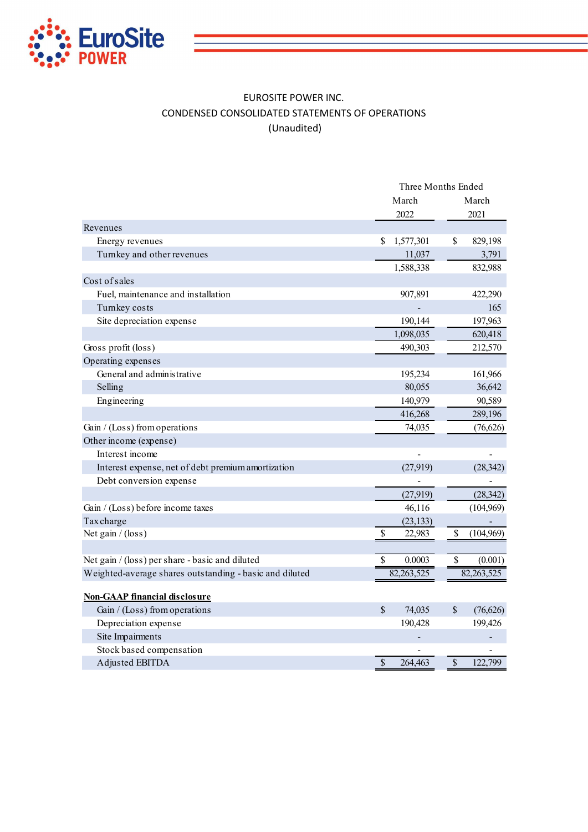

## EUROSITE POWER INC. CONDENSED CONSOLIDATED STATEMENTS OF OPERATIONS (Unaudited)

|                                                         | Three Months Ended       |                          |  |  |  |  |
|---------------------------------------------------------|--------------------------|--------------------------|--|--|--|--|
|                                                         | March                    | March                    |  |  |  |  |
|                                                         | 2022                     | 2021                     |  |  |  |  |
| Revenues                                                |                          |                          |  |  |  |  |
| Energy revenues                                         | \$<br>1,577,301          | \$<br>829,198            |  |  |  |  |
| Turnkey and other revenues                              | 11,037                   | 3,791                    |  |  |  |  |
|                                                         | 1,588,338                | 832,988                  |  |  |  |  |
| Cost of sales                                           |                          |                          |  |  |  |  |
| Fuel, maintenance and installation                      | 907,891                  | 422,290                  |  |  |  |  |
| Turnkey costs                                           |                          | 165                      |  |  |  |  |
| Site depreciation expense                               | 190,144                  | 197,963                  |  |  |  |  |
|                                                         | 1,098,035                | 620,418                  |  |  |  |  |
| Gross profit (loss)                                     | 490,303                  | 212,570                  |  |  |  |  |
| Operating expenses                                      |                          |                          |  |  |  |  |
| General and administrative                              | 195,234                  | 161,966                  |  |  |  |  |
| Selling                                                 | 80,055                   | 36,642                   |  |  |  |  |
| Engineering                                             | 140,979                  | 90,589                   |  |  |  |  |
|                                                         | 416,268                  | 289,196                  |  |  |  |  |
| Gain / (Loss) from operations                           | 74,035                   | (76,626)                 |  |  |  |  |
| Other income (expense)                                  |                          |                          |  |  |  |  |
| Interest income                                         |                          |                          |  |  |  |  |
| Interest expense, net of debt premium amortization      | (27,919)                 | (28, 342)                |  |  |  |  |
| Debt conversion expense                                 |                          |                          |  |  |  |  |
|                                                         | (27,919)                 | (28, 342)                |  |  |  |  |
| Gain / (Loss) before income taxes                       | 46,116                   | (104,969)                |  |  |  |  |
| Taxcharge                                               | (23, 133)                |                          |  |  |  |  |
| Net gain $/$ (loss)                                     | \$<br>22,983             | \$<br>(104,969)          |  |  |  |  |
|                                                         |                          |                          |  |  |  |  |
| Net gain / (loss) per share - basic and diluted         | \$<br>0.0003             | $\mathbb{S}$<br>(0.001)  |  |  |  |  |
| Weighted-average shares outstanding - basic and diluted | 82,263,525               | 82, 263, 525             |  |  |  |  |
|                                                         |                          |                          |  |  |  |  |
| <b>Non-GAAP financial disclosure</b>                    |                          |                          |  |  |  |  |
| Gain / (Loss) from operations                           | $\mathbb{S}$<br>74,035   | $\mathbb{S}$<br>(76,626) |  |  |  |  |
| Depreciation expense                                    | 190,428                  | 199,426                  |  |  |  |  |
| Site Impairments                                        |                          |                          |  |  |  |  |
| Stock based compensation                                |                          |                          |  |  |  |  |
| Adjusted EBITDA                                         | $\mathsf{\$}$<br>264,463 | $\mathsf{\$}$<br>122,799 |  |  |  |  |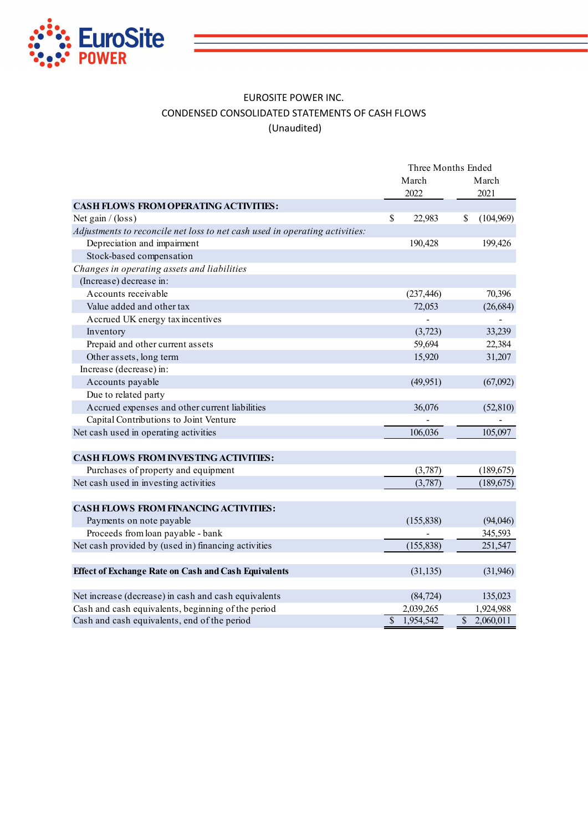

## EUROSITE POWER INC. CONDENSED CONSOLIDATED STATEMENTS OF CASH FLOWS (Unaudited)

| EUROSITE POWER INC.<br>CONDENSED CONSOLIDATED STATEMENTS OF CASH FLOWS<br>(Unaudited) |                                     |              |                        |
|---------------------------------------------------------------------------------------|-------------------------------------|--------------|------------------------|
|                                                                                       | Three Months Ended<br>March<br>2022 |              | March<br>2021          |
| <b>CASH FLOWS FROM OPERATING ACTIVITIES:</b>                                          |                                     |              |                        |
| Net gain / (loss)                                                                     | \$<br>22,983                        | S.           | (104, 969)             |
| Adjustments to reconcile net loss to net cash used in operating activities:           |                                     |              |                        |
| Depreciation and impairment                                                           | 190,428                             |              | 199,426                |
| Stock-based compensation                                                              |                                     |              |                        |
| Changes in operating assets and liabilities                                           |                                     |              |                        |
| (Increase) decrease in:                                                               |                                     |              |                        |
| Accounts receivable                                                                   | (237, 446)                          |              | 70,396                 |
| Value added and other tax                                                             | 72,053                              |              | (26, 684)              |
| Accrued UK energy tax incentives                                                      |                                     |              |                        |
| Inventory                                                                             | (3,723)                             |              | 33,239                 |
| Prepaid and other current assets                                                      | 59,694                              |              | 22,384                 |
| Other assets, long term                                                               | 15,920                              |              | 31,207                 |
| Increase (decrease) in:                                                               |                                     |              |                        |
| Accounts payable                                                                      | (49,951)                            |              | (67,092)               |
| Due to related party                                                                  |                                     |              |                        |
| Accrued expenses and other current liabilities                                        | 36,076                              |              | (52, 810)              |
| Capital Contributions to Joint Venture                                                |                                     |              |                        |
| Net cash used in operating activities                                                 | 106,036                             |              | 105,097                |
|                                                                                       |                                     |              |                        |
| <b>CASH FLOWS FROM INVESTING ACTIVITIES:</b>                                          |                                     |              |                        |
| Purchases of property and equipment                                                   | (3,787)                             |              | (189, 675)             |
| Net cash used in investing activities                                                 | (3,787)                             |              | (189, 675)             |
|                                                                                       |                                     |              |                        |
| <b>CASH FLOWS FROM FINANCING ACTIVITIES:</b>                                          |                                     |              |                        |
|                                                                                       |                                     |              |                        |
| Payments on note payable                                                              | (155, 838)                          |              | (94, 046)              |
| Proceeds from loan payable - bank                                                     |                                     |              | 345,593                |
| Net cash provided by (used in) financing activities                                   | (155, 838)                          |              | 251,547                |
| <b>Effect of Exchange Rate on Cash and Cash Equivalents</b>                           | (31, 135)                           |              | (31,946)               |
|                                                                                       |                                     |              |                        |
| Net increase (decrease) in cash and cash equivalents                                  | (84, 724)                           |              | 135,023                |
| Cash and cash equivalents, beginning of the period                                    | 2,039,265<br>\$ 1,954,542           | $\mathbb{S}$ | 1,924,988<br>2,060,011 |
| Cash and cash equivalents, end of the period                                          |                                     |              |                        |